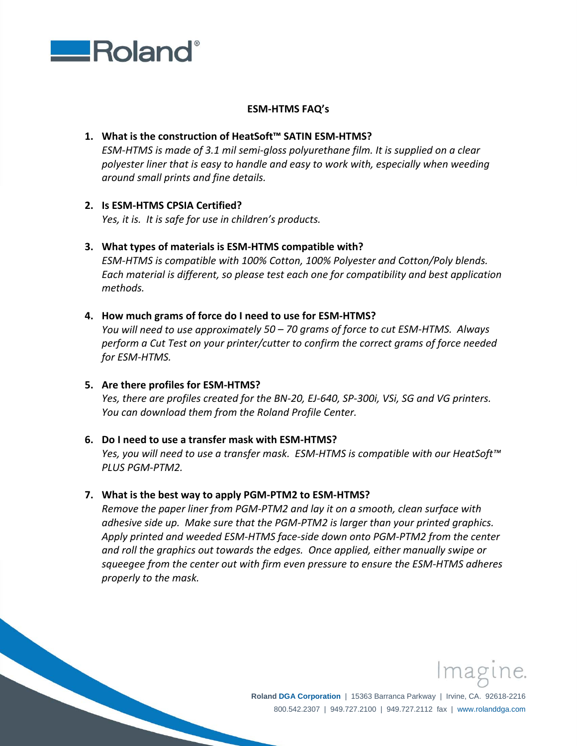

## **ESM‐HTMS FAQ's**

# **1. What is the construction of HeatSoft™ SATIN ESM‐HTMS?**

*ESM‐HTMS is made of 3.1 mil semi‐gloss polyurethane film. It is supplied on a clear polyester liner that is easy to handle and easy to work with, especially when weeding around small prints and fine details.*

## **2. Is ESM‐HTMS CPSIA Certified?**

*Yes, it is. It is safe for use in children's products.*

## **3. What types of materials is ESM‐HTMS compatible with?**

*ESM‐HTMS is compatible with 100% Cotton, 100% Polyester and Cotton/Poly blends. Each material is different, so please test each one for compatibility and best application methods.*

## **4. How much grams of force do I need to use for ESM‐HTMS?**

*You will need to use approximately 50 – 70 grams of force to cut ESM‐HTMS. Always perform a Cut Test on your printer/cutter to confirm the correct grams of force needed for ESM‐HTMS.*

#### **5. Are there profiles for ESM‐HTMS?**

Yes, there are profiles created for the BN-20, EJ-640, SP-300i, VSi, SG and VG printers. *You can download them from the Roland Profile Center.*

#### **6. Do I need to use a transfer mask with ESM‐HTMS?**

*Yes, you will need to use a transfer mask. ESM‐HTMS is compatible with our HeatSoft™ PLUS PGM‐PTM2.*

#### **7. What is the best way to apply PGM‐PTM2 to ESM‐HTMS?**

*Remove the paper liner from PGM‐PTM2 and lay it on a smooth, clean surface with adhesive side up. Make sure that the PGM‐PTM2 is larger than your printed graphics. Apply printed and weeded ESM‐HTMS face‐side down onto PGM‐PTM2 from the center and roll the graphics out towards the edges. Once applied, either manually swipe or squeegee from the center out with firm even pressure to ensure the ESM‐HTMS adheres properly to the mask.*



**Roland DGA Corporation** | 15363 Barranca Parkway | Irvine, CA. 92618-2216 800.542.2307 | 949.727.2100 | 949.727.2112 fax | www.rolanddga.com